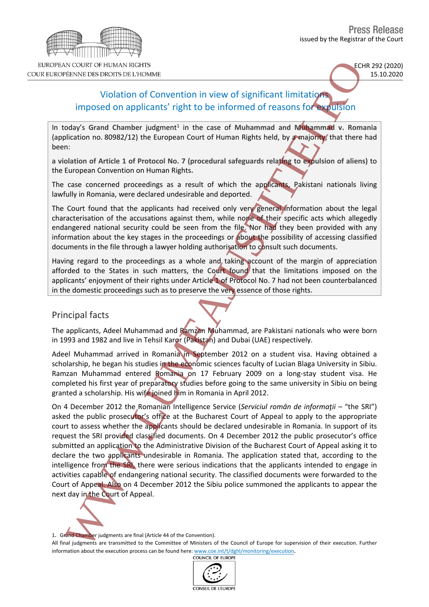

# Violation of Convention in view of significant limitations imposed on applicants' right to be informed of reasons for expulsion

In today's Grand Chamber judgment<sup>1</sup> in the case of Muhammad and Muhammad v. Romania (application no. 80982/12) the European Court of Human Rights held, by a majority, that there had been:

**a violation of Article 1 of Protocol No. 7 (procedural safeguards relating to expulsion of aliens)** to the European Convention on Human Rights**.**

The case concerned proceedings as a result of which the applicants, Pakistani nationals living lawfully in Romania, were declared undesirable and deported.

The Court found that the applicants had received only very general information about the legal characterisation of the accusations against them, while none of their specific acts which allegedly endangered national security could be seen from the file. Nor had they been provided with any information about the key stages in the proceedings or about the possibility of accessing classified documents in the file through a lawyer holding authorisation to consult such documents.

Having regard to the proceedings as a whole and taking account of the margin of appreciation afforded to the States in such matters, the Court found that the limitations imposed on the applicants' enjoyment of their rights under Article 1 of Protocol No. 7 had not been counterbalanced in the domestic proceedings such as to preserve the very essence of those rights.

### Principal facts

The applicants, Adeel Muhammad and Ramzan Muhammad, are Pakistani nationals who were born in 1993 and 1982 and live in Tehsil Karor (Pakistan) and Dubai (UAE) respectively.

Adeel Muhammad arrived in Romania in September 2012 on a student visa. Having obtained a scholarship, he began his studies in the economic sciences faculty of Lucian Blaga University in Sibiu. Ramzan Muhammad entered Romania on 17 February 2009 on a long-stay student visa. He completed his first year of preparatory studies before going to the same university in Sibiu on being granted a scholarship. His wife joined him in Romania in April 2012.

On 4 December 2012 the Romanian Intelligence Service (*Serviciul român de informaţii –* "the SRI") asked the public prosecutor's office at the Bucharest Court of Appeal to apply to the appropriate court to assess whether the applicants should be declared undesirable in Romania. In support of its request the SRI provided classified documents. On 4 December 2012 the public prosecutor's office submitted an application to the Administrative Division of the Bucharest Court of Appeal asking it to declare the two applicants undesirable in Romania. The application stated that, according to the intelligence from the SRI, there were serious indications that the applicants intended to engage in activities capable of endangering national security. The classified documents were forwarded to the Court of Appeal. Also on 4 December 2012 the Sibiu police summoned the applicants to appear the next day in the Court of Appeal. incore of interest incore about the execution in the case of Multiple Theoretical interest in the execution of a strainer in the case of Multiple Theoretical interest in the case of Multiple Theoretical control (applicants



1. Grand Chamber judgments are final (Article 44 of the Convention).

All final judgments are transmitted to the Committee of Ministers of the Council of Europe for supervision of their execution. Further

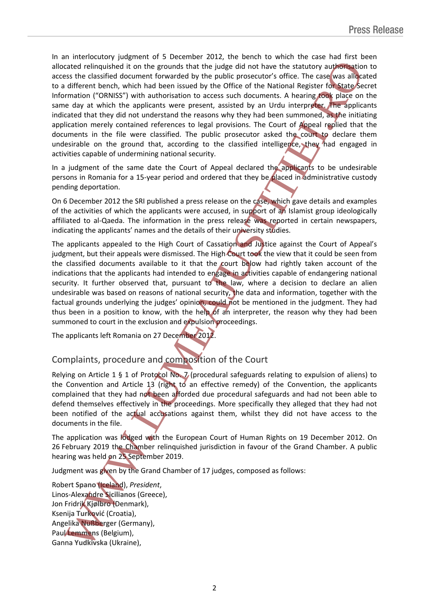In an interlocutory judgment of 5 December 2012, the bench to which the case had first been allocated relinquished it on the grounds that the judge did not have the statutory authorisation to access the classified document forwarded by the public prosecutor's office. The case was allocated to a different bench, which had been issued by the Office of the National Register for State Secret Information ("ORNISS") with authorisation to access such documents. A hearing took place on the same day at which the applicants were present, assisted by an Urdu interpreter. The applicants indicated that they did not understand the reasons why they had been summoned, as the initiating application merely contained references to legal provisions. The Court of Appeal replied that the documents in the file were classified. The public prosecutor asked the court to declare them undesirable on the ground that, according to the classified intelligence, they had engaged in activities capable of undermining national security. allocated entropying the product that the update of the stationy upselles and the content of the stationy and one and the stationy and the transformation of the anti-<br>the stationy and the station of the product that the ul

In a judgment of the same date the Court of Appeal declared the applicants to be undesirable persons in Romania for a 15-year period and ordered that they be placed in administrative custody pending deportation.

On 6 December 2012 the SRI published a press release on the case, which gave details and examples of the activities of which the applicants were accused, in support of an Islamist group ideologically affiliated to al-Qaeda. The information in the press release was reported in certain newspapers, indicating the applicants' names and the details of their university studies.

The applicants appealed to the High Court of Cassation and Justice against the Court of Appeal's judgment, but their appeals were dismissed. The High Court took the view that it could be seen from the classified documents available to it that the court below had rightly taken account of the indications that the applicants had intended to engage in activities capable of endangering national security. It further observed that, pursuant to the law, where a decision to declare an alien undesirable was based on reasons of national security, the data and information, together with the factual grounds underlying the judges' opinion, could not be mentioned in the judgment. They had thus been in a position to know, with the help of an interpreter, the reason why they had been summoned to court in the exclusion and expulsion proceedings.

The applicants left Romania on 27 December 2012.

## Complaints, procedure and composition of the Court

Relying on Article 1 § 1 of Protocol No. 7 (procedural safeguards relating to expulsion of aliens) to the Convention and Article 13 (right to an effective remedy) of the Convention, the applicants complained that they had not been afforded due procedural safeguards and had not been able to defend themselves effectively in the proceedings. More specifically they alleged that they had not been notified of the actual accusations against them, whilst they did not have access to the documents in the file.

The application was lodged with the European Court of Human Rights on 19 December 2012. On 26 February 2019 the Chamber relinquished jurisdiction in favour of the Grand Chamber. A public hearing was held on 25 September 2019.

Judgment was given by the Grand Chamber of 17 judges, composed as follows:

Robert **Spano** (Iceland), *President*, Linos-Alexandre **Sicilianos** (Greece), Jon Fridrik **Kjølbro** (Denmark), Ksenija **Turković** (Croatia), Angelika **Nußberger** (Germany), Paul **Lemmens** (Belgium),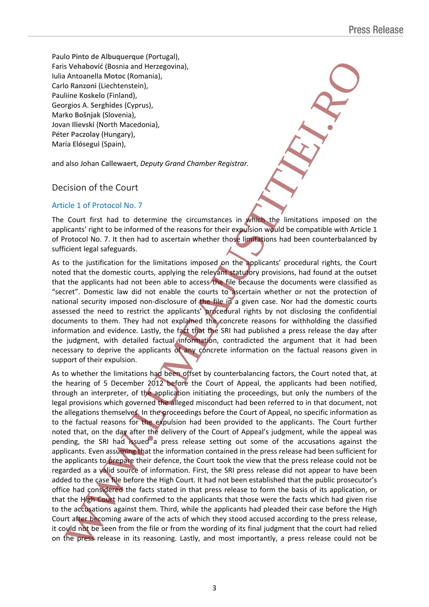Paulo **Pinto de Albuquerque** (Portugal), Faris **Vehabović** (Bosnia and Herzegovina), Iulia Antoanella **Motoc** (Romania), Carlo **Ranzoni** (Liechtenstein), Pauliine **Koskelo** (Finland), Georgios A. **Serghides** (Cyprus), Marko **Bošnjak** (Slovenia), Jovan **Ilievski** (North Macedonia), Péter **Paczolay** (Hungary), María **Elósegui** (Spain),

and also Johan **Callewaert**, *Deputy Grand Chamber Registrar.*

### Decision of the Court

#### Article 1 of Protocol No. 7

The Court first had to determine the circumstances in which the limitations imposed on the applicants' right to be informed of the reasons for their expulsion would be compatible with Article 1 of Protocol No. 7. It then had to ascertain whether those limitations had been counterbalanced by sufficient legal safeguards.

As to the justification for the limitations imposed on the applicants' procedural rights, the Court noted that the domestic courts, applying the relevant statutory provisions, had found at the outset that the applicants had not been able to access the file because the documents were classified as "secret". Domestic law did not enable the courts to ascertain whether or not the protection of national security imposed non-disclosure of the file in a given case. Nor had the domestic courts assessed the need to restrict the applicants' procedural rights by not disclosing the confidential documents to them. They had not explained the concrete reasons for withholding the classified information and evidence. Lastly, the fact that the SRI had published a press release the day after the judgment, with detailed factual information, contradicted the argument that it had been necessary to deprive the applicants of any concrete information on the factual reasons given in support of their expulsion.

As to whether the limitations had been offset by counterbalancing factors, the Court noted that, at the hearing of 5 December 2012 before the Court of Appeal, the applicants had been notified, through an interpreter, of the application initiating the proceedings, but only the numbers of the legal provisions which governed the alleged misconduct had been referred to in that document, not the allegations themselves. In the proceedings before the Court of Appeal, no specific information as to the factual reasons for the expulsion had been provided to the applicants. The Court further noted that, on the day after the delivery of the Court of Appeal's judgment, while the appeal was pending, the SRI had issued a press release setting out some of the accusations against the applicants. Even assuming that the information contained in the press release had been sufficient for the applicants to prepare their defence, the Court took the view that the press release could not be regarded as a valid source of information. First, the SRI press release did not appear to have been added to the case file before the High Court. It had not been established that the public prosecutor's office had considered the facts stated in that press release to form the basis of its application, or that the High Court had confirmed to the applicants that those were the facts which had given rise to the accusations against them. Third, while the applicants had pleaded their case before the High Court after becoming aware of the acts of which they stood accused according to the press release, it could not be seen from the file or from the wording of its final judgment that the court had relied First Westbook! (Eximinal the most likely the press release in its release in the press release could not the press release could not the press release could not the press release in the press release in its release in its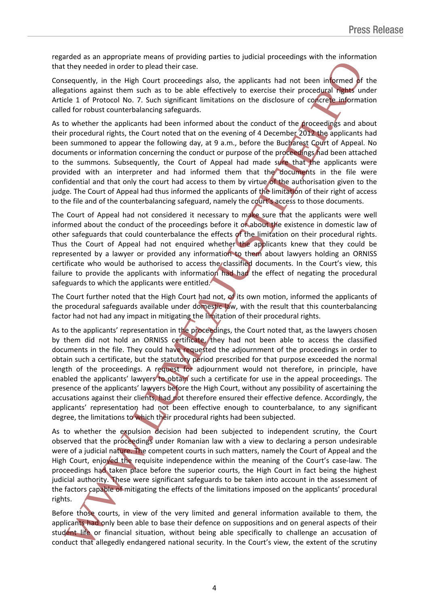regarded as an appropriate means of providing parties to judicial proceedings with the information that they needed in order to plead their case.

Consequently, in the High Court proceedings also, the applicants had not been informed of the allegations against them such as to be able effectively to exercise their procedural rights under Article 1 of Protocol No. 7. Such significant limitations on the disclosure of concrete information called for robust counterbalancing safeguards.

As to whether the applicants had been informed about the conduct of the **proceedings** and about their procedural rights, the Court noted that on the evening of 4 December 2012 the applicants had been summoned to appear the following day, at 9 a.m., before the Bucharest Court of Appeal. No documents or information concerning the conduct or purpose of the proceedings had been attached to the summons. Subsequently, the Court of Appeal had made sure that the applicants were provided with an interpreter and had informed them that the documents in the file were confidential and that only the court had access to them by virtue of the authorisation given to the judge. The Court of Appeal had thus informed the applicants of the limitation of their right of access to the file and of the counterbalancing safeguard, namely the court's access to those documents.

The Court of Appeal had not considered it necessary to make sure that the applicants were well informed about the conduct of the proceedings before it or about the existence in domestic law of other safeguards that could counterbalance the effects of the limitation on their procedural rights. Thus the Court of Appeal had not enquired whether the applicants knew that they could be represented by a lawyer or provided any information to them about lawyers holding an ORNISS certificate who would be authorised to access the classified documents. In the Court's view, this failure to provide the applicants with information had had the effect of negating the procedural safeguards to which the applicants were entitled.

The Court further noted that the High Court had not,  $\mathbf{d}$  its own motion, informed the applicants of the procedural safeguards available under domestic law, with the result that this counterbalancing factor had not had any impact in mitigating the limitation of their procedural rights.

As to the applicants' representation in the proceedings, the Court noted that, as the lawyers chosen by them did not hold an ORNISS certificate, they had not been able to access the classified documents in the file. They could have requested the adjournment of the proceedings in order to obtain such a certificate, but the statutory period prescribed for that purpose exceeded the normal length of the proceedings. A request for adjournment would not therefore, in principle, have enabled the applicants' lawyers to obtain such a certificate for use in the appeal proceedings. The presence of the applicants' lawyers before the High Court, without any possibility of ascertaining the accusations against their clients, had not therefore ensured their effective defence. Accordingly, the applicants' representation had not been effective enough to counterbalance, to any significant degree, the limitations to which their procedural rights had been subjected. that the wineded in order to plead their cose. The extent had not be in the method of constants in the significant interaction in the significant of the significant of the significant of the significant of the final consta

As to whether the expulsion decision had been subjected to independent scrutiny, the Court observed that the proceedings under Romanian law with a view to declaring a person undesirable were of a judicial nature. The competent courts in such matters, namely the Court of Appeal and the High Court, enjoyed the requisite independence within the meaning of the Court's case-law. The proceedings had taken place before the superior courts, the High Court in fact being the highest judicial authority. These were significant safeguards to be taken into account in the assessment of the factors capable of mitigating the effects of the limitations imposed on the applicants' procedural rights.

Before those courts, in view of the very limited and general information available to them, the applicants had only been able to base their defence on suppositions and on general aspects of their student life or financial situation, without being able specifically to challenge an accusation of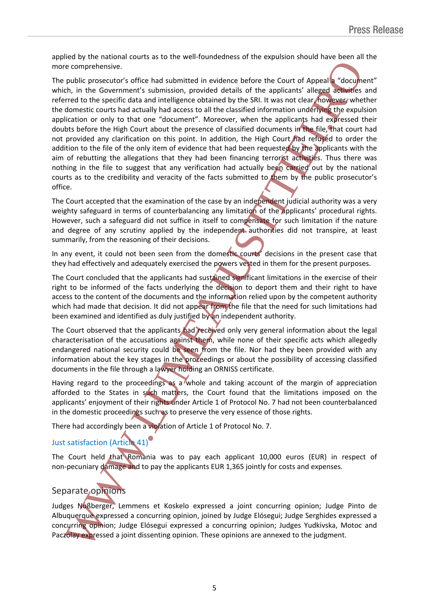applied by the national courts as to the well-foundedness of the expulsion should have been all the more comprehensive.

The public prosecutor's office had submitted in evidence before the Court of Appeal a "document" which, in the Government's submission, provided details of the applicants' alleged activities and referred to the specific data and intelligence obtained by the SRI. It was not clear, however, whether the domestic courts had actually had access to all the classified information underlying the expulsion application or only to that one "document". Moreover, when the applicants had expressed their doubts before the High Court about the presence of classified documents in the file, that court had not provided any clarification on this point. In addition, the High Court had refused to order the addition to the file of the only item of evidence that had been requested by the applicants with the aim of rebutting the allegations that they had been financing terrorist activities. Thus there was nothing in the file to suggest that any verification had actually been carried out by the national courts as to the credibility and veracity of the facts submitted to them by the public prosecutor's office. more comprehensive.<br>The polici prosecutor's orbit had submitted in evidence before the Court of Appear "decoment"<br>Which in this documents' submission, provided details of the supplements also are<br>of the first of the submen

The Court accepted that the examination of the case by an independent judicial authority was a very weighty safeguard in terms of counterbalancing any limitation of the applicants' procedural rights. However, such a safeguard did not suffice in itself to compensate for such limitation if the nature and degree of any scrutiny applied by the independent authorities did not transpire, at least summarily, from the reasoning of their decisions.

In any event, it could not been seen from the domestic courts' decisions in the present case that they had effectively and adequately exercised the powers vested in them for the present purposes.

The Court concluded that the applicants had sustained significant limitations in the exercise of their right to be informed of the facts underlying the decision to deport them and their right to have access to the content of the documents and the information relied upon by the competent authority which had made that decision. It did not appear from the file that the need for such limitations had been examined and identified as duly justified by an independent authority.

The Court observed that the applicants had received only very general information about the legal characterisation of the accusations against them, while none of their specific acts which allegedly endangered national security could be seen from the file. Nor had they been provided with any information about the key stages in the proceedings or about the possibility of accessing classified documents in the file through a lawyer holding an ORNISS certificate.

Having regard to the proceedings as a whole and taking account of the margin of appreciation afforded to the States in such matters, the Court found that the limitations imposed on the applicants' enjoyment of their rights under Article 1 of Protocol No. 7 had not been counterbalanced in the domestic proceedings such as to preserve the very essence of those rights.

There had accordingly been a violation of Article 1 of Protocol No. 7.

## Just satisfaction (Article 41)

The Court held that Romania was to pay each applicant 10,000 euros (EUR) in respect of non-pecuniary damage and to pay the applicants EUR 1,365 jointly for costs and expenses.

## Separate opinions

Judges Nußberger, Lemmens et Koskelo expressed a joint concurring opinion; Judge Pinto de Albuquerque expressed a concurring opinion, joined by Judge Elósegui; Judge Serghides expressed a concurring opinion; Judge Elósegui expressed a concurring opinion; Judges Yudkivska, Motoc and